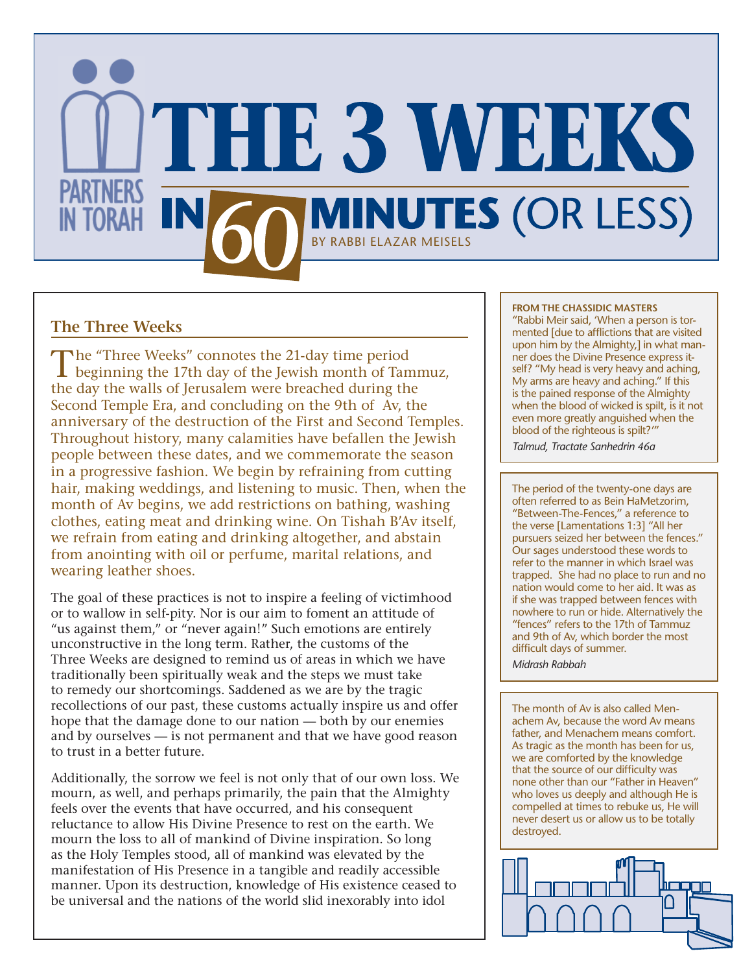

# **The Three Weeks**

The "Three Weeks" connotes the 21-day time period<br>beginning the 17th day of the Jewish month of Tammuz, the day the walls of Jerusalem were breached during the Second Temple Era, and concluding on the 9th of Av, the anniversary of the destruction of the First and Second Temples. Throughout history, many calamities have befallen the Jewish people between these dates, and we commemorate the season in a progressive fashion. We begin by refraining from cutting hair, making weddings, and listening to music. Then, when the month of Av begins, we add restrictions on bathing, washing clothes, eating meat and drinking wine. On Tishah B'Av itself, we refrain from eating and drinking altogether, and abstain from anointing with oil or perfume, marital relations, and wearing leather shoes.

The goal of these practices is not to inspire a feeling of victimhood or to wallow in self-pity. Nor is our aim to foment an attitude of "us against them," or "never again!" Such emotions are entirely unconstructive in the long term. Rather, the customs of the Three Weeks are designed to remind us of areas in which we have traditionally been spiritually weak and the steps we must take to remedy our shortcomings. Saddened as we are by the tragic recollections of our past, these customs actually inspire us and offer hope that the damage done to our nation — both by our enemies and by ourselves — is not permanent and that we have good reason to trust in a better future.

Additionally, the sorrow we feel is not only that of our own loss. We mourn, as well, and perhaps primarily, the pain that the Almighty feels over the events that have occurred, and his consequent reluctance to allow His Divine Presence to rest on the earth. We mourn the loss to all of mankind of Divine inspiration. So long as the Holy Temples stood, all of mankind was elevated by the manifestation of His Presence in a tangible and readily accessible manner. Upon its destruction, knowledge of His existence ceased to be universal and the nations of the world slid inexorably into idol

#### **FROM THE CHASSIDIC MASTERS**

"Rabbi Meir said, 'When a person is tormented [due to afflictions that are visited upon him by the Almighty,] in what manner does the Divine Presence express itself? "My head is very heavy and aching, My arms are heavy and aching." If this is the pained response of the Almighty when the blood of wicked is spilt, is it not even more greatly anguished when the blood of the righteous is spilt?'"

*Talmud, Tractate Sanhedrin 46a*

The period of the twenty-one days are often referred to as Bein HaMetzorim, "Between-The-Fences," a reference to the verse [Lamentations 1:3] "All her pursuers seized her between the fences." Our sages understood these words to refer to the manner in which Israel was trapped. She had no place to run and no nation would come to her aid. It was as if she was trapped between fences with nowhere to run or hide. Alternatively the "fences" refers to the 17th of Tammuz and 9th of Av, which border the most difficult days of summer. *Midrash Rabbah*

The month of Av is also called Menachem Av, because the word Av means father, and Menachem means comfort. As tragic as the month has been for us, we are comforted by the knowledge that the source of our difficulty was none other than our "Father in Heaven" who loves us deeply and although He is compelled at times to rebuke us, He will never desert us or allow us to be totally destroyed.

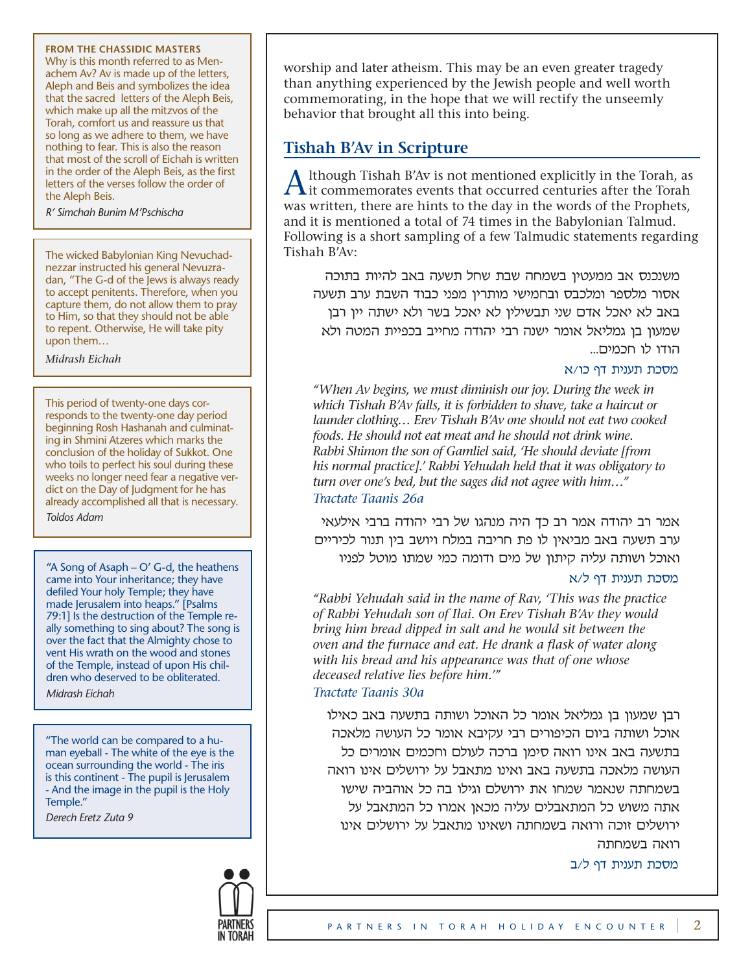#### **FROM THE CHASSIDIC MASTERS**

Why is this month referred to as Menachem Av? Av is made up of the letters, Aleph and Beis and symbolizes the idea that the sacred letters of the Aleph Beis, which make up all the mitzvos of the Torah, comfort us and reassure us that so long as we adhere to them, we have nothing to fear. This is also the reason that most of the scroll of Eichah is written in the order of the Aleph Beis, as the first letters of the verses follow the order of the Aleph Beis.

*R' Simchah Bunim M'Pschischa*

The wicked Babylonian King Nevuchadnezzar instructed his general Nevuzradan, "The G-d of the Jews is always ready to accept penitents. Therefore, when you capture them, do not allow them to pray to Him, so that they should not be able to repent. Otherwise, He will take pity upon them…

*Midrash Eichah*

This period of twenty-one days corresponds to the twenty-one day period beginning Rosh Hashanah and culminating in Shmini Atzeres which marks the conclusion of the holiday of Sukkot. One who toils to perfect his soul during these weeks no longer need fear a negative verdict on the Day of Judgment for he has already accomplished all that is necessary. *Toldos Adam*

"A Song of Asaph – O' G-d, the heathens came into Your inheritance; they have defiled Your holy Temple; they have made Jerusalem into heaps." [Psalms 79:1] Is the destruction of the Temple really something to sing about? The song is over the fact that the Almighty chose to vent His wrath on the wood and stones of the Temple, instead of upon His children who deserved to be obliterated.

*Midrash Eichah*

"The world can be compared to a human eyeball - The white of the eye is the ocean surrounding the world - The iris is this continent - The pupil is Jerusalem - And the image in the pupil is the Holy Temple."

*Derech Eretz Zuta 9*



worship and later atheism. This may be an even greater tragedy than anything experienced by the Jewish people and well worth commemorating, in the hope that we will rectify the unseemly behavior that brought all this into being.

# **Tishah B'Av in Scripture**

Ithough Tishah B'Av is not mentioned explicitly in the Torah, as  $\lambda$  it commemorates events that occurred centuries after the Torah was written, there are hints to the day in the words of the Prophets, and it is mentioned a total of 74 times in the Babylonian Talmud. Following is a short sampling of a few Talmudic statements regarding Tishah B'Av:

משנכנס אב ממעטין בשמחה שבת שחל תשעה באב להיות בתוכה אסור מלספר ומלכבס ובחמישי מותרין מפני כבוד השבת ערב תשעה באב לא יאכל אדם שני תבשילין לא יאכל בשר ולא ישתה יין רבן שמעון בן גמליאל אומר ישנה רבי יהודה מחייב בכפיית המטה ולא הודו לו חכמים...

# מסכת תענית דף כו/א

*"When Av begins, we must diminish our joy. During the week in which Tishah B'Av falls, it is forbidden to shave, take a haircut or launder clothing… Erev Tishah B'Av one should not eat two cooked foods. He should not eat meat and he should not drink wine. Rabbi Shimon the son of Gamliel said, 'He should deviate [from his normal practice].' Rabbi Yehudah held that it was obligatory to turn over one's bed, but the sages did not agree with him…" Tractate Taanis 26a*

אמר רב יהודה אמר רב כך היה מנהגו של רבי יהודה ברבי אילעאי ערב תשעה באב מביאין לו פת חריבה במלח ויושב בין תנור לכיריים ואוכל ושותה עליה קיתון של מים ודומה כמי שמתו מוטל לפניו

# מסכת תענית דף ל/א

*"Rabbi Yehudah said in the name of Rav, 'This was the practice of Rabbi Yehudah son of Ilai. On Erev Tishah B'Av they would bring him bread dipped in salt and he would sit between the oven and the furnace and eat. He drank a flask of water along with his bread and his appearance was that of one whose deceased relative lies before him.'" Tractate Taanis 30a*

רבן שמעון בן גמליאל אומר כל האוכל ושותה בתשעה באב כאילו

אוכל ושותה ביום הכיפורים רבי עקיבא אומר כל העושה מלאכה בתשעה באב אינו רואה סימן ברכה לעולם וחכמים אומרים כל העושה מלאכה בתשעה באב ואינו מתאבל על ירושלים אינו רואה בשמחתה שנאמר שמחו את ירושלם וגילו בה כל אוהביה שישו אתה משוש כל המתאבלים עליה מכאן אמרו כל המתאבל על ירושלים זוכה ורואה בשמחתה ושאינו מתאבל על ירושלים אינו רואה בשמחתה

מסכת תענית דף ל/ב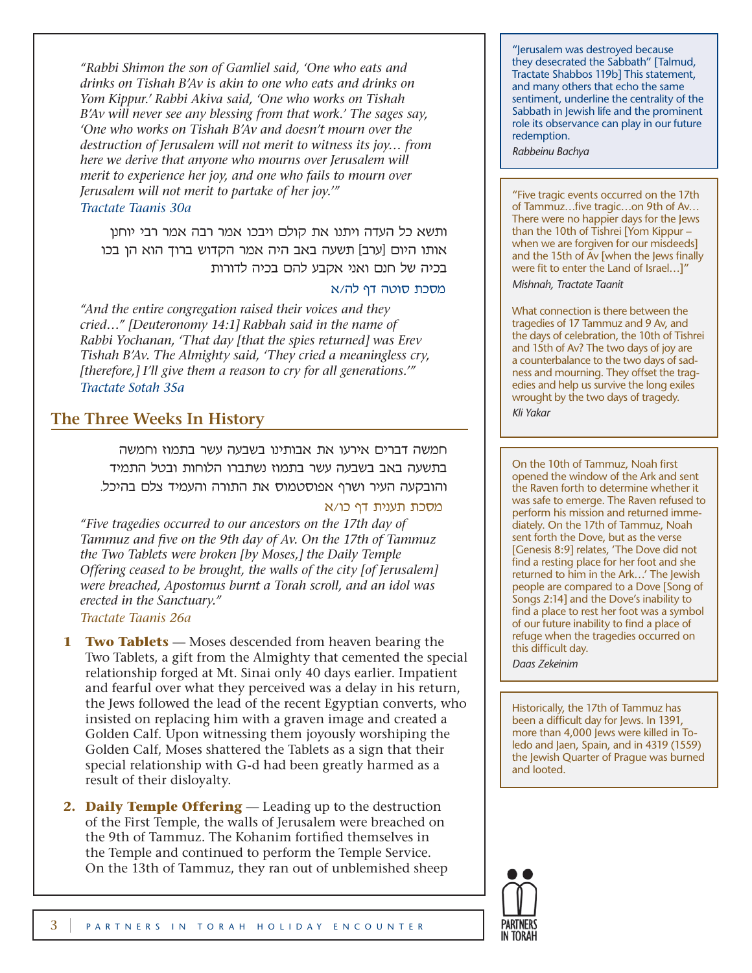*"Rabbi Shimon the son of Gamliel said, 'One who eats and drinks on Tishah B'Av is akin to one who eats and drinks on Yom Kippur.' Rabbi Akiva said, 'One who works on Tishah B'Av will never see any blessing from that work.' The sages say, 'One who works on Tishah B'Av and doesn't mourn over the destruction of Jerusalem will not merit to witness its joy… from here we derive that anyone who mourns over Jerusalem will merit to experience her joy, and one who fails to mourn over Jerusalem will not merit to partake of her joy.'"*

# *Tractate Taanis 30a*

ותשא כל העדה ויתנו את קולם ויבכו אמר רבה אמר רבי יוחנן אותו היום [ערב] תשעה באב היה אמר הקדוש ברוך הוא הן בכו בכיה של חנם ואני אקבע להם בכיה לדורות

# מסכת סוטה דף לה/א

*"And the entire congregation raised their voices and they cried…" [Deuteronomy 14:1] Rabbah said in the name of Rabbi Yochanan, 'That day [that the spies returned] was Erev Tishah B'Av. The Almighty said, 'They cried a meaningless cry, [therefore,] I'll give them a reason to cry for all generations.'" Tractate Sotah 35a*

# **The Three Weeks In History**

חמשה דברים אירעו את אבותינו בשבעה עשר בתמוז וחמשה בתשעה באב בשבעה עשר בתמוז נשתברו הלוחות ובטל התמיד והובקעה העיר ושרף אפוסטמוס את התורה והעמיד צלם בהיכל.

# מסכת תענית דף כו/א

*"Five tragedies occurred to our ancestors on the 17th day of Tammuz and five on the 9th day of Av. On the 17th of Tammuz the Two Tablets were broken [by Moses,] the Daily Temple Offering ceased to be brought, the walls of the city [of Jerusalem] were breached, Apostomus burnt a Torah scroll, and an idol was erected in the Sanctuary."*

*Tractate Taanis 26a*

- **1 Two Tablets** Moses descended from heaven bearing the Two Tablets, a gift from the Almighty that cemented the special relationship forged at Mt. Sinai only 40 days earlier. Impatient and fearful over what they perceived was a delay in his return, the Jews followed the lead of the recent Egyptian converts, who insisted on replacing him with a graven image and created a Golden Calf. Upon witnessing them joyously worshiping the Golden Calf, Moses shattered the Tablets as a sign that their special relationship with G-d had been greatly harmed as a result of their disloyalty.
- **2. Daily Temple Offering** Leading up to the destruction of the First Temple, the walls of Jerusalem were breached on the 9th of Tammuz. The Kohanim fortified themselves in the Temple and continued to perform the Temple Service. On the 13th of Tammuz, they ran out of unblemished sheep

"Jerusalem was destroyed because they desecrated the Sabbath" [Talmud, Tractate Shabbos 119b] This statement, and many others that echo the same sentiment, underline the centrality of the Sabbath in Jewish life and the prominent role its observance can play in our future redemption.

*Rabbeinu Bachya*

"Five tragic events occurred on the 17th of Tammuz…five tragic…on 9th of Av… There were no happier days for the Jews than the 10th of Tishrei [Yom Kippur – when we are forgiven for our misdeeds] and the 15th of Av [when the Jews finally were fit to enter the Land of Israel…]"

*Mishnah, Tractate Taanit*

What connection is there between the tragedies of 17 Tammuz and 9 Av, and the days of celebration, the 10th of Tishrei and 15th of Av? The two days of joy are a counterbalance to the two days of sadness and mourning. They offset the tragedies and help us survive the long exiles wrought by the two days of tragedy. *Kli Yakar*

On the 10th of Tammuz, Noah first opened the window of the Ark and sent the Raven forth to determine whether it was safe to emerge. The Raven refused to perform his mission and returned immediately. On the 17th of Tammuz, Noah sent forth the Dove, but as the verse [Genesis 8:9] relates, 'The Dove did not find a resting place for her foot and she returned to him in the Ark…' The Jewish people are compared to a Dove [Song of Songs 2:14] and the Dove's inability to find a place to rest her foot was a symbol of our future inability to find a place of refuge when the tragedies occurred on this difficult day.

*Daas Zekeinim*

Historically, the 17th of Tammuz has been a difficult day for Jews. In 1391, more than 4,000 Jews were killed in Toledo and Jaen, Spain, and in 4319 (1559) the Jewish Quarter of Prague was burned and looted.

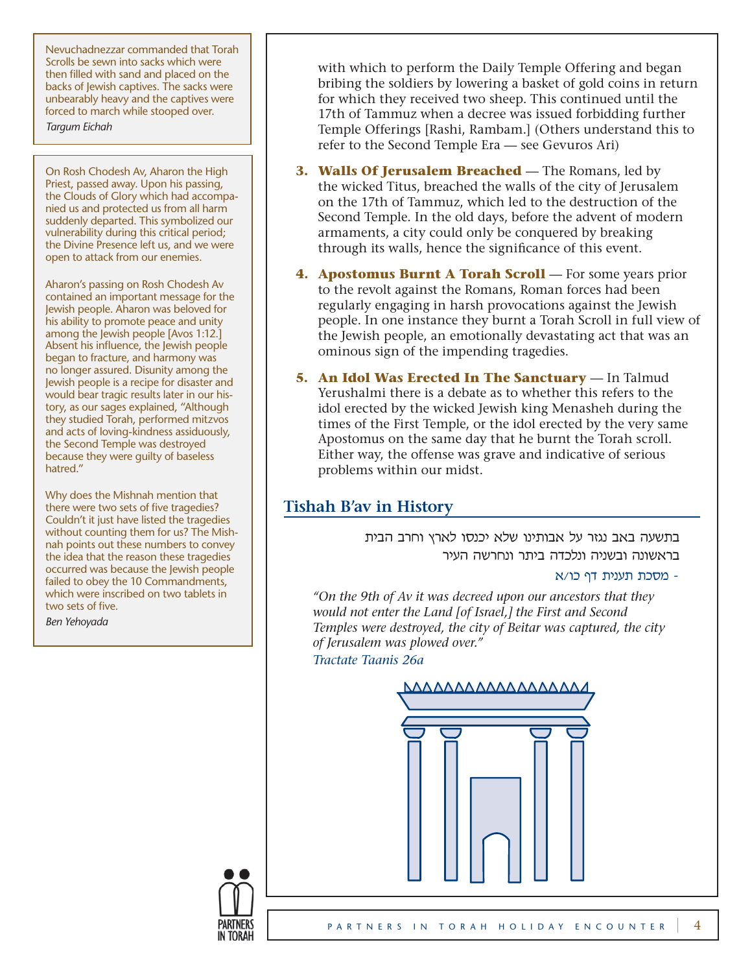Nevuchadnezzar commanded that Torah Scrolls be sewn into sacks which were then filled with sand and placed on the backs of Jewish captives. The sacks were unbearably heavy and the captives were forced to march while stooped over.

*Targum Eichah*

On Rosh Chodesh Av, Aharon the High Priest, passed away. Upon his passing, the Clouds of Glory which had accompanied us and protected us from all harm suddenly departed. This symbolized our vulnerability during this critical period; the Divine Presence left us, and we were open to attack from our enemies.

Aharon's passing on Rosh Chodesh Av contained an important message for the Jewish people. Aharon was beloved for his ability to promote peace and unity among the Jewish people [Avos 1:12.] Absent his influence, the Jewish people began to fracture, and harmony was no longer assured. Disunity among the Jewish people is a recipe for disaster and would bear tragic results later in our history, as our sages explained, "Although they studied Torah, performed mitzvos and acts of loving-kindness assiduously, the Second Temple was destroyed because they were guilty of baseless hatred."

Why does the Mishnah mention that there were two sets of five tragedies? Couldn't it just have listed the tragedies without counting them for us? The Mishnah points out these numbers to convey the idea that the reason these tragedies occurred was because the Jewish people failed to obey the 10 Commandments. which were inscribed on two tablets in two sets of five.

*Ben Yehoyada*

with which to perform the Daily Temple Offering and began bribing the soldiers by lowering a basket of gold coins in return for which they received two sheep. This continued until the 17th of Tammuz when a decree was issued forbidding further Temple Offerings [Rashi, Rambam.] (Others understand this to refer to the Second Temple Era — see Gevuros Ari)

- **3. Walls Of Jerusalem Breached** The Romans, led by the wicked Titus, breached the walls of the city of Jerusalem on the 17th of Tammuz, which led to the destruction of the Second Temple. In the old days, before the advent of modern armaments, a city could only be conquered by breaking through its walls, hence the significance of this event.
- **4. Apostomus Burnt A Torah Scroll** For some years prior to the revolt against the Romans, Roman forces had been regularly engaging in harsh provocations against the Jewish people. In one instance they burnt a Torah Scroll in full view of the Jewish people, an emotionally devastating act that was an ominous sign of the impending tragedies.
- **5. An Idol Was Erected In The Sanctuary** In Talmud Yerushalmi there is a debate as to whether this refers to the idol erected by the wicked Jewish king Menasheh during the times of the First Temple, or the idol erected by the very same Apostomus on the same day that he burnt the Torah scroll. Either way, the offense was grave and indicative of serious problems within our midst.

# **Tishah B'av in History**

בתשעה באב נגזר על אבותינו שלא יכנסו לארץ וחרב הבית בראשונה ובשניה ונלכדה ביתר ונחרשה העיר

# - מסכת תענית דף כו/א

*"On the 9th of Av it was decreed upon our ancestors that they would not enter the Land [of Israel,] the First and Second Temples were destroyed, the city of Beitar was captured, the city of Jerusalem was plowed over."* 

*Tractate Taanis 26a*



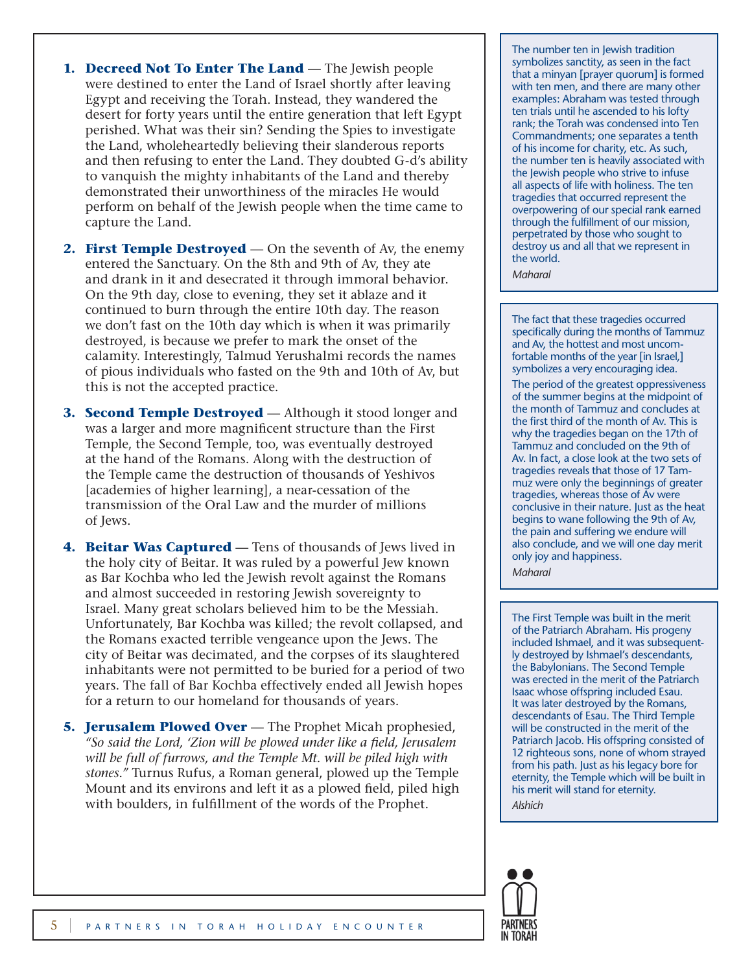- **1. Decreed Not To Enter The Land** The Jewish people were destined to enter the Land of Israel shortly after leaving Egypt and receiving the Torah. Instead, they wandered the desert for forty years until the entire generation that left Egypt perished. What was their sin? Sending the Spies to investigate the Land, wholeheartedly believing their slanderous reports and then refusing to enter the Land. They doubted G-d's ability to vanquish the mighty inhabitants of the Land and thereby demonstrated their unworthiness of the miracles He would perform on behalf of the Jewish people when the time came to capture the Land.
- **2. First Temple Destroyed** On the seventh of Av, the enemy entered the Sanctuary. On the 8th and 9th of Av, they ate and drank in it and desecrated it through immoral behavior. On the 9th day, close to evening, they set it ablaze and it continued to burn through the entire 10th day. The reason we don't fast on the 10th day which is when it was primarily destroyed, is because we prefer to mark the onset of the calamity. Interestingly, Talmud Yerushalmi records the names of pious individuals who fasted on the 9th and 10th of Av, but this is not the accepted practice.
- **3. Second Temple Destroyed** Although it stood longer and was a larger and more magnificent structure than the First Temple, the Second Temple, too, was eventually destroyed at the hand of the Romans. Along with the destruction of the Temple came the destruction of thousands of Yeshivos [academies of higher learning], a near-cessation of the transmission of the Oral Law and the murder of millions of Jews.
- **4. Beitar Was Captured** Tens of thousands of Jews lived in the holy city of Beitar. It was ruled by a powerful Jew known as Bar Kochba who led the Jewish revolt against the Romans and almost succeeded in restoring Jewish sovereignty to Israel. Many great scholars believed him to be the Messiah. Unfortunately, Bar Kochba was killed; the revolt collapsed, and the Romans exacted terrible vengeance upon the Jews. The city of Beitar was decimated, and the corpses of its slaughtered inhabitants were not permitted to be buried for a period of two years. The fall of Bar Kochba effectively ended all Jewish hopes for a return to our homeland for thousands of years.
- **5. Jerusalem Plowed Over** The Prophet Micah prophesied, *"So said the Lord, 'Zion will be plowed under like a field, Jerusalem will be full of furrows, and the Temple Mt. will be piled high with stones."* Turnus Rufus, a Roman general, plowed up the Temple Mount and its environs and left it as a plowed field, piled high with boulders, in fulfillment of the words of the Prophet.

The number ten in Jewish tradition symbolizes sanctity, as seen in the fact that a minyan [prayer quorum] is formed with ten men, and there are many other examples: Abraham was tested through ten trials until he ascended to his lofty rank; the Torah was condensed into Ten Commandments; one separates a tenth of his income for charity, etc. As such, the number ten is heavily associated with the Jewish people who strive to infuse all aspects of life with holiness. The ten tragedies that occurred represent the overpowering of our special rank earned through the fulfillment of our mission, perpetrated by those who sought to destroy us and all that we represent in the world.

*Maharal*

The fact that these tragedies occurred specifically during the months of Tammuz and Av, the hottest and most uncomfortable months of the year [in Israel,] symbolizes a very encouraging idea.

The period of the greatest oppressiveness of the summer begins at the midpoint of the month of Tammuz and concludes at the first third of the month of Av. This is why the tragedies began on the 17th of Tammuz and concluded on the 9th of Av. In fact, a close look at the two sets of tragedies reveals that those of 17 Tammuz were only the beginnings of greater tragedies, whereas those of Av were conclusive in their nature. Just as the heat begins to wane following the 9th of Av, the pain and suffering we endure will also conclude, and we will one day merit only joy and happiness.

*Maharal* 

The First Temple was built in the merit of the Patriarch Abraham. His progeny included Ishmael, and it was subsequently destroyed by Ishmael's descendants, the Babylonians. The Second Temple was erected in the merit of the Patriarch Isaac whose offspring included Esau. It was later destroyed by the Romans, descendants of Esau. The Third Temple will be constructed in the merit of the Patriarch Jacob. His offspring consisted of 12 righteous sons, none of whom strayed from his path. Just as his legacy bore for eternity, the Temple which will be built in his merit will stand for eternity. *Alshich*

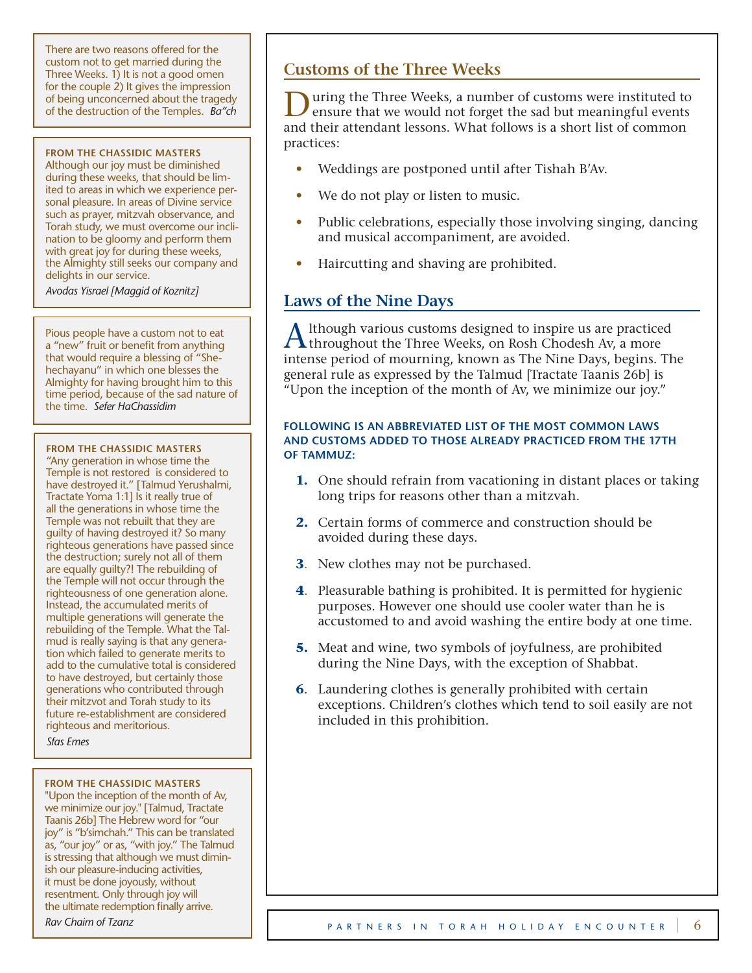There are two reasons offered for the custom not to get married during the Three Weeks. 1) It is not a good omen for the couple 2) It gives the impression of being unconcerned about the tragedy of the destruction of the Temples. *Ba"ch*

#### **FROM THE CHASSIDIC MASTERS**

Although our joy must be diminished during these weeks, that should be limited to areas in which we experience personal pleasure. In areas of Divine service such as prayer, mitzvah observance, and Torah study, we must overcome our inclination to be gloomy and perform them with great joy for during these weeks, the Almighty still seeks our company and delights in our service.

*Avodas Yisrael [Maggid of Koznitz]*

Pious people have a custom not to eat a "new" fruit or benefit from anything that would require a blessing of "Shehechayanu" in which one blesses the Almighty for having brought him to this time period, because of the sad nature of the time. *Sefer HaChassidim*

#### **FROM THE CHASSIDIC MASTERS**

"Any generation in whose time the Temple is not restored is considered to have destroyed it." [Talmud Yerushalmi, Tractate Yoma 1:1] Is it really true of all the generations in whose time the Temple was not rebuilt that they are guilty of having destroyed it? So many righteous generations have passed since the destruction; surely not all of them are equally guilty?! The rebuilding of the Temple will not occur through the righteousness of one generation alone. Instead, the accumulated merits of multiple generations will generate the rebuilding of the Temple. What the Talmud is really saying is that any generation which failed to generate merits to add to the cumulative total is considered to have destroyed, but certainly those generations who contributed through their mitzvot and Torah study to its future re-establishment are considered righteous and meritorious. *Sfas Emes*

#### **FROM THE CHASSIDIC MASTERS**

"Upon the inception of the month of Av, we minimize our joy." [Talmud, Tractate Taanis 26b] The Hebrew word for "our joy" is "b'simchah." This can be translated as, "our joy" or as, "with joy." The Talmud is stressing that although we must diminish our pleasure-inducing activities, it must be done joyously, without resentment. Only through joy will the ultimate redemption finally arrive.

#### *Rav Chaim of Tzanz*

# **Customs of the Three Weeks**

During the Three Weeks, a number of customs were instituted to ensure that we would not forget the sad but meaningful events and their attendant lessons. What follows is a short list of common practices:

- Weddings are postponed until after Tishah B'Av.
- We do not play or listen to music.
- Public celebrations, especially those involving singing, dancing and musical accompaniment, are avoided.
- Haircutting and shaving are prohibited.

# **Laws of the Nine Days**

A lthough various customs designed to inspire us are practiced throughout the Three Weeks, on Rosh Chodesh Av, a more intense period of mourning, known as The Nine Days, begins. The general rule as expressed by the Talmud [Tractate Taanis 26b] is "Upon the inception of the month of Av, we minimize our joy."

# **FOLLOWING IS AN ABBREVIATED LIST OF THE MOST COMMON LAWS AND CUSTOMS ADDED TO THOSE ALREADY PRACTICED FROM THE 17TH OF TAMMUZ:**

- **1.** One should refrain from vacationing in distant places or taking long trips for reasons other than a mitzvah.
- **2.** Certain forms of commerce and construction should be avoided during these days.
- **3**. New clothes may not be purchased.
- **4**. Pleasurable bathing is prohibited. It is permitted for hygienic purposes. However one should use cooler water than he is accustomed to and avoid washing the entire body at one time.
- **5.** Meat and wine, two symbols of joyfulness, are prohibited during the Nine Days, with the exception of Shabbat.
- **6**. Laundering clothes is generally prohibited with certain exceptions. Children's clothes which tend to soil easily are not included in this prohibition.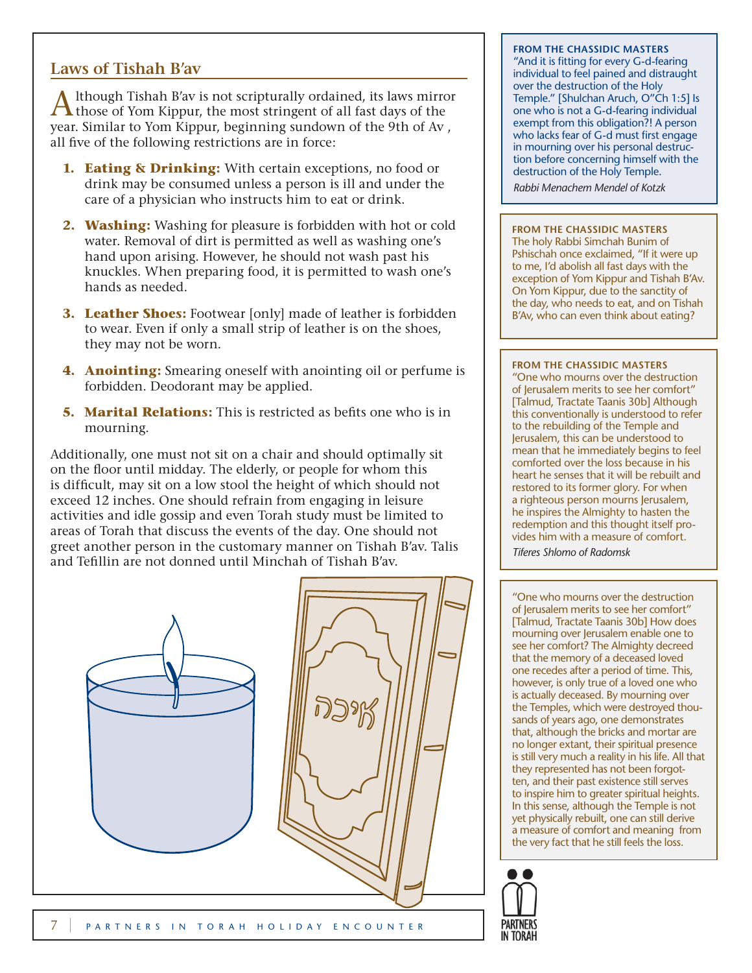# **Laws of Tishah B'av**

A lthough Tishah B'av is not scripturally ordained, its laws mirror<br>those of Yom Kippur, the most stringent of all fast days of the year. Similar to Yom Kippur, beginning sundown of the 9th of Av , all five of the following restrictions are in force:

- **1. Eating & Drinking:** With certain exceptions, no food or drink may be consumed unless a person is ill and under the care of a physician who instructs him to eat or drink.
- **2. Washing:** Washing for pleasure is forbidden with hot or cold water. Removal of dirt is permitted as well as washing one's hand upon arising. However, he should not wash past his knuckles. When preparing food, it is permitted to wash one's hands as needed.
- **3. Leather Shoes:** Footwear [only] made of leather is forbidden to wear. Even if only a small strip of leather is on the shoes, they may not be worn.
- **4. Anointing:** Smearing oneself with anointing oil or perfume is forbidden. Deodorant may be applied.
- **5. Marital Relations:** This is restricted as befits one who is in mourning.

Additionally, one must not sit on a chair and should optimally sit on the floor until midday. The elderly, or people for whom this is difficult, may sit on a low stool the height of which should not exceed 12 inches. One should refrain from engaging in leisure activities and idle gossip and even Torah study must be limited to areas of Torah that discuss the events of the day. One should not greet another person in the customary manner on Tishah B'av. Talis and Tefillin are not donned until Minchah of Tishah B'av.



# **FROM THE CHASSIDIC MASTERS**

"And it is fitting for every G-d-fearing individual to feel pained and distraught over the destruction of the Holy Temple." [Shulchan Aruch, O"Ch 1:5] Is one who is not a G-d-fearing individual exempt from this obligation?! A person who lacks fear of G-d must first engage in mourning over his personal destruction before concerning himself with the destruction of the Holy Temple.

*Rabbi Menachem Mendel of Kotzk*

# **FROM THE CHASSIDIC MASTERS**

The holy Rabbi Simchah Bunim of Pshischah once exclaimed, "If it were up to me, I'd abolish all fast days with the exception of Yom Kippur and Tishah B'Av. On Yom Kippur, due to the sanctity of the day, who needs to eat, and on Tishah B'Av, who can even think about eating?

# **FROM THE CHASSIDIC MASTERS**

"One who mourns over the destruction of Jerusalem merits to see her comfort" [Talmud, Tractate Taanis 30b] Although this conventionally is understood to refer to the rebuilding of the Temple and Jerusalem, this can be understood to mean that he immediately begins to feel comforted over the loss because in his heart he senses that it will be rebuilt and restored to its former glory. For when a righteous person mourns Jerusalem, he inspires the Almighty to hasten the redemption and this thought itself provides him with a measure of comfort.

*Tiferes Shlomo of Radomsk*

"One who mourns over the destruction of Jerusalem merits to see her comfort" [Talmud, Tractate Taanis 30b] How does mourning over Jerusalem enable one to see her comfort? The Almighty decreed that the memory of a deceased loved one recedes after a period of time. This, however, is only true of a loved one who is actually deceased. By mourning over the Temples, which were destroyed thousands of years ago, one demonstrates that, although the bricks and mortar are no longer extant, their spiritual presence is still very much a reality in his life. All that they represented has not been forgotten, and their past existence still serves to inspire him to greater spiritual heights. In this sense, although the Temple is not yet physically rebuilt, one can still derive a measure of comfort and meaning from the very fact that he still feels the loss.

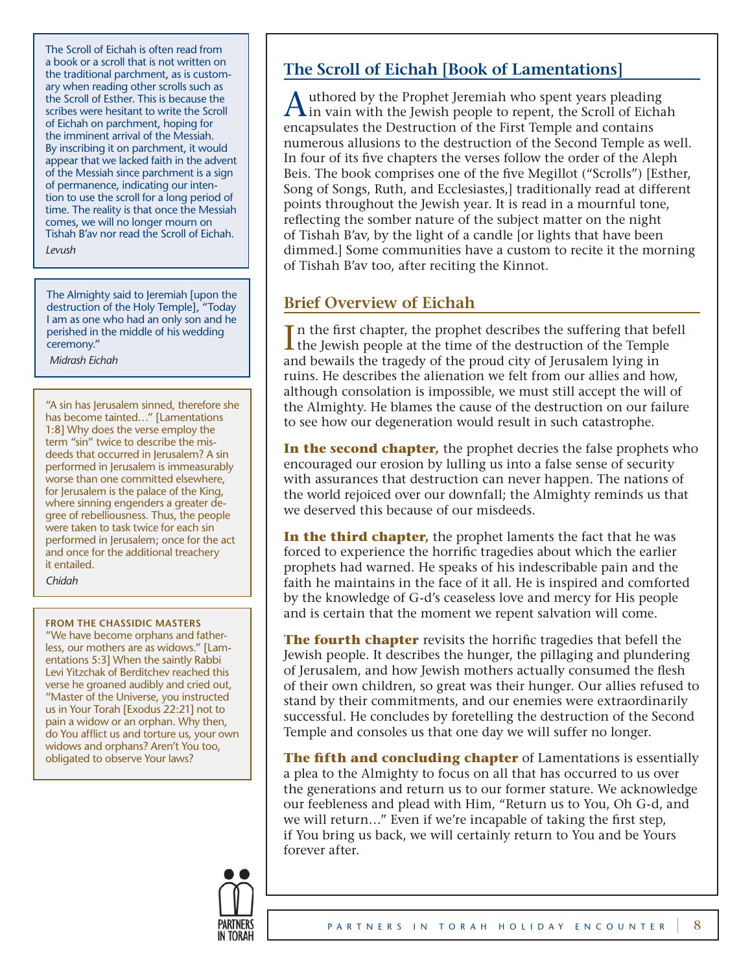The Scroll of Eichah is often read from a book or a scroll that is not written on the traditional parchment, as is customary when reading other scrolls such as the Scroll of Esther. This is because the scribes were hesitant to write the Scroll of Eichah on parchment, hoping for the imminent arrival of the Messiah. By inscribing it on parchment, it would appear that we lacked faith in the advent of the Messiah since parchment is a sign of permanence, indicating our intention to use the scroll for a long period of time. The reality is that once the Messiah comes, we will no longer mourn on Tishah B'av nor read the Scroll of Eichah.

*Levush*

The Almighty said to Jeremiah [upon the destruction of the Holy Temple], "Today I am as one who had an only son and he perished in the middle of his wedding ceremony."

 *Midrash Eichah*

"A sin has Jerusalem sinned, therefore she has become tainted…" [Lamentations 1:8] Why does the verse employ the term "sin" twice to describe the misdeeds that occurred in Jerusalem? A sin performed in Jerusalem is immeasurably worse than one committed elsewhere, for Jerusalem is the palace of the King, where sinning engenders a greater degree of rebelliousness. Thus, the people were taken to task twice for each sin performed in Jerusalem; once for the act and once for the additional treachery it entailed. *Chidah*

#### **FROM THE CHASSIDIC MASTERS**

"We have become orphans and fatherless, our mothers are as widows." [Lamentations 5:3] When the saintly Rabbi Levi Yitzchak of Berditchev reached this verse he groaned audibly and cried out, "Master of the Universe, you instructed us in Your Torah [Exodus 22:21] not to pain a widow or an orphan. Why then, do You afflict us and torture us, your own widows and orphans? Aren't You too, obligated to observe Your laws?

# **The Scroll of Eichah [Book of Lamentations]**

A uthored by the Prophet Jeremiah who spent years pleading<br>in vain with the Jewish people to repent, the Scroll of Eichah encapsulates the Destruction of the First Temple and contains numerous allusions to the destruction of the Second Temple as well. In four of its five chapters the verses follow the order of the Aleph Beis. The book comprises one of the five Megillot ("Scrolls") [Esther, Song of Songs, Ruth, and Ecclesiastes,] traditionally read at different points throughout the Jewish year. It is read in a mournful tone, reflecting the somber nature of the subject matter on the night of Tishah B'av, by the light of a candle [or lights that have been dimmed.] Some communities have a custom to recite it the morning of Tishah B'av too, after reciting the Kinnot.

# **Brief Overview of Eichah**

I n the first chapter, the prophet describes the suffering that befell the Jewish people at the time of the destruction of the Temple and bewails the tragedy of the proud city of Jerusalem lying in ruins. He describes the alienation we felt from our allies and how, although consolation is impossible, we must still accept the will of the Almighty. He blames the cause of the destruction on our failure to see how our degeneration would result in such catastrophe.

**In the second chapter,** the prophet decries the false prophets who encouraged our erosion by lulling us into a false sense of security with assurances that destruction can never happen. The nations of the world rejoiced over our downfall; the Almighty reminds us that we deserved this because of our misdeeds.

**In the third chapter,** the prophet laments the fact that he was forced to experience the horrific tragedies about which the earlier prophets had warned. He speaks of his indescribable pain and the faith he maintains in the face of it all. He is inspired and comforted by the knowledge of G-d's ceaseless love and mercy for His people and is certain that the moment we repent salvation will come.

**The fourth chapter** revisits the horrific tragedies that befell the Jewish people. It describes the hunger, the pillaging and plundering of Jerusalem, and how Jewish mothers actually consumed the flesh of their own children, so great was their hunger. Our allies refused to stand by their commitments, and our enemies were extraordinarily successful. He concludes by foretelling the destruction of the Second Temple and consoles us that one day we will suffer no longer.

**The fifth and concluding chapter** of Lamentations is essentially a plea to the Almighty to focus on all that has occurred to us over the generations and return us to our former stature. We acknowledge our feebleness and plead with Him, "Return us to You, Oh G-d, and we will return…" Even if we're incapable of taking the first step, if You bring us back, we will certainly return to You and be Yours forever after.

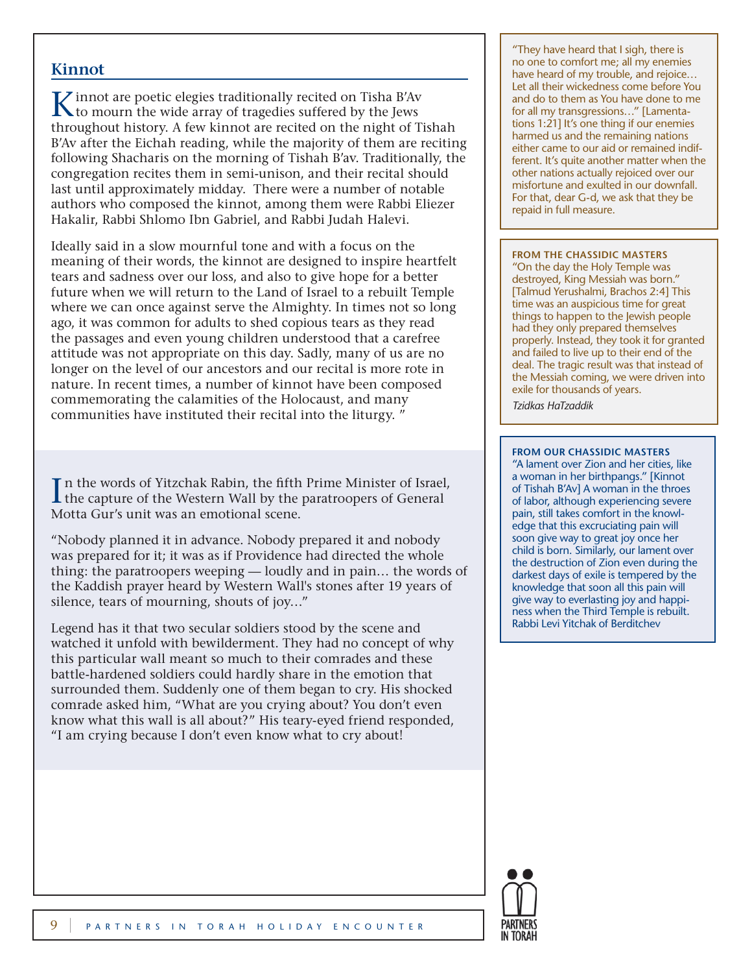# **Kinnot**

K innot are poetic elegies traditionally recited on Tisha B'Av to mourn the wide array of tragedies suffered by the Jews throughout history. A few kinnot are recited on the night of Tishah B'Av after the Eichah reading, while the majority of them are reciting following Shacharis on the morning of Tishah B'av. Traditionally, the congregation recites them in semi-unison, and their recital should last until approximately midday. There were a number of notable authors who composed the kinnot, among them were Rabbi Eliezer Hakalir, Rabbi Shlomo Ibn Gabriel, and Rabbi Judah Halevi.

Ideally said in a slow mournful tone and with a focus on the meaning of their words, the kinnot are designed to inspire heartfelt tears and sadness over our loss, and also to give hope for a better future when we will return to the Land of Israel to a rebuilt Temple where we can once against serve the Almighty. In times not so long ago, it was common for adults to shed copious tears as they read the passages and even young children understood that a carefree attitude was not appropriate on this day. Sadly, many of us are no longer on the level of our ancestors and our recital is more rote in nature. In recent times, a number of kinnot have been composed commemorating the calamities of the Holocaust, and many communities have instituted their recital into the liturgy. "

In the words of Yitzchak Rabin, the fifth Prime Minister of Israel,<br>the capture of the Western Wall by the paratroopers of General Motta Gur's unit was an emotional scene.

"Nobody planned it in advance. Nobody prepared it and nobody was prepared for it; it was as if Providence had directed the whole thing: the paratroopers weeping — loudly and in pain… the words of the Kaddish prayer heard by Western Wall's stones after 19 years of silence, tears of mourning, shouts of joy…"

Legend has it that two secular soldiers stood by the scene and watched it unfold with bewilderment. They had no concept of why this particular wall meant so much to their comrades and these battle-hardened soldiers could hardly share in the emotion that surrounded them. Suddenly one of them began to cry. His shocked comrade asked him, "What are you crying about? You don't even know what this wall is all about?" His teary-eyed friend responded, "I am crying because I don't even know what to cry about!

"They have heard that I sigh, there is no one to comfort me; all my enemies have heard of my trouble, and rejoice… Let all their wickedness come before You and do to them as You have done to me for all my transgressions…" [Lamentations 1:21] It's one thing if our enemies harmed us and the remaining nations either came to our aid or remained indifferent. It's quite another matter when the other nations actually rejoiced over our misfortune and exulted in our downfall. For that, dear G-d, we ask that they be repaid in full measure.

#### **FROM THE CHASSIDIC MASTERS**

"On the day the Holy Temple was destroyed, King Messiah was born." [Talmud Yerushalmi, Brachos 2:4] This time was an auspicious time for great things to happen to the Jewish people had they only prepared themselves properly. Instead, they took it for granted and failed to live up to their end of the deal. The tragic result was that instead of the Messiah coming, we were driven into exile for thousands of years. *Tzidkas HaTzaddik*

#### **FROM OUR CHASSIDIC MASTERS**

"A lament over Zion and her cities, like a woman in her birthpangs." [Kinnot of Tishah B'Av] A woman in the throes of labor, although experiencing severe pain, still takes comfort in the knowledge that this excruciating pain will soon give way to great joy once her child is born. Similarly, our lament over the destruction of Zion even during the darkest days of exile is tempered by the knowledge that soon all this pain will give way to everlasting joy and happiness when the Third Temple is rebuilt. Rabbi Levi Yitchak of Berditchev